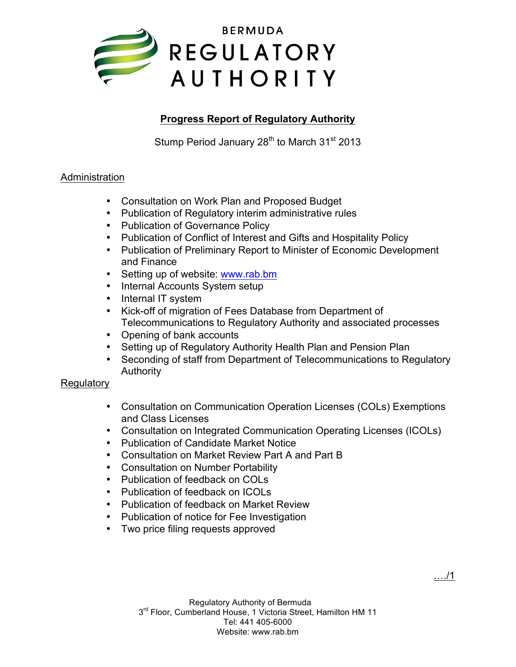

# **Progress Report of Regulatory Authority**

Stump Period January 28<sup>th</sup> to March 31<sup>st</sup> 2013

## Administration

- Consultation on Work Plan and Proposed Budget
- Publication of Regulatory interim administrative rules
- Publication of Governance Policy
- Publication of Conflict of Interest and Gifts and Hospitality Policy
- Publication of Preliminary Report to Minister of Economic Development and Finance
- Setting up of website: www.rab.bm
- Internal Accounts System setup
- Internal IT system
- Kick-off of migration of Fees Database from Department of Telecommunications to Regulatory Authority and associated processes
- Opening of bank accounts
- Setting up of Regulatory Authority Health Plan and Pension Plan
- Seconding of staff from Department of Telecommunications to Regulatory Authority

### **Regulatory**

- Consultation on Communication Operation Licenses (COLs) Exemptions and Class Licenses
- Consultation on Integrated Communication Operating Licenses (ICOLs)
- Publication of Candidate Market Notice
- Consultation on Market Review Part A and Part B
- Consultation on Number Portability
- Publication of feedback on COLs
- Publication of feedback on ICOLs
- Publication of feedback on Market Review
- Publication of notice for Fee Investigation
- Two price filing requests approved